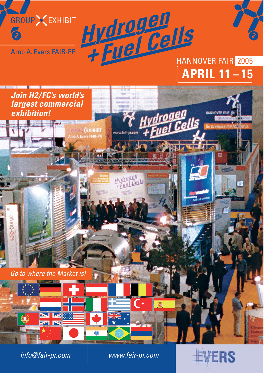

Arno A. Evers FAIR-PR

# Hydrogen<br>+ Fuel Cells<br>+ Fuel Cells **APRIL 11 – 15**



info@fair-pr.com www.fair-pr.com

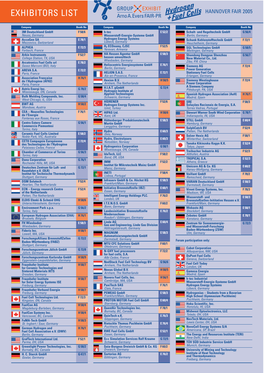# EXHIBITORS LIST

| Company                                                                                                        | <b>Booth No</b>    |
|----------------------------------------------------------------------------------------------------------------|--------------------|
| <b>3M Deutschland GmbH</b><br>Neuss, Germany                                                                   | F58/6              |
| <b>AccaGen SA</b>                                                                                              | E 78/1             |
| Mezzovico, Switzerland<br><b>ALPHEA</b>                                                                        | E <sub>72/3</sub>  |
| Forbach, France<br><b>Arbin Instruments</b><br>College Station, TX, USA                                        | F52/7              |
| <b>Arcotronics Fuel Cells srl</b><br>Sasso Marconi (BO), Italy                                                 | E 78/2             |
| <b>AREVA S.A.</b><br>Paris, France                                                                             | E 72/2             |
| <b>Association Francaise</b><br>de l'Hydrogène (AFH2)<br>Paris, France                                         | H 76/1             |
| Astris Energi Inc.<br>Mississauga, ON, Canada                                                                  | G 78/2             |
| <b>Bulk Molding Compounds, Inc.</b><br>West Chicago, IL, USA                                                   | G 58/4             |
| <b>BWT AG</b><br>Mondsee, Austria                                                                              | H 58/2             |
| $CEA - Nouvelles Technologies$<br>de l'Energie                                                                 | F76/1              |
| Fontenay aux Roses, France<br><b>Centro Estero Camere</b>                                                      | G 56/1             |
| <b>Commercio Piemontesi</b><br>Torino, Italy                                                                   |                    |
| <b>Ceramic Fuel Cells Limited</b><br>Noble Park, VIC, Australia                                                | E 58/2             |
| <b>CETH Compagnie Européenne</b><br>des Technologies de l'Hydrogène<br>Palaiseau Cedex, France                 | E72/4              |
| <b>Chamber of Commerce of Torino</b><br>Torino, Italy                                                          | G 56/3             |
| <b>Dana Corporation</b><br>Rochester Hills, MI, USA                                                            | G 76/1             |
| <b>Deutsches Zentrum für Luft- und</b><br><b>Raumfahrt e.V. (DLR)</b><br>Institut für Technische Thermodynamik | G 72/1             |
| Stuttgart, Germany<br><b>DSM Solutech</b><br><b>Heerlen, The Netherlands</b>                                   | F52/4              |
| <b>ECN</b> - Energy research Centre<br>of the Netherlands                                                      | F52/4              |
| <b>Petten, The Netherlands</b><br><b>ELDIS Ehmki &amp; Schmid OHG</b><br>Unterschleissheim, Germany            | H <sub>58/6</sub>  |
| <b>Environment Park s.p.a.</b><br>Torino, Italy                                                                | G 56/2             |
| <b>European Hydrogen Association (EHA)</b><br><b>Brussels, Belgium</b>                                         | H 76/1             |
| <b>FH Wiesbaden</b><br>Wiesbaden, Germany                                                                      | $E\overline{58/3}$ |
| <b>Fideris Inc.</b><br>Lowell, MA, USA                                                                         | H 58/1             |
| <b>ForschungsAllianz BrennstoffZellen</b><br><b>Baden-Württemberg (FABZ)</b><br><b>Stuttgart, Germany</b>      | G 72/2             |
| <b>Forschungszentrum Jülich GmbH</b><br>Jülich, Germany                                                        | G 72/8             |
| <b>Forschungszentrum Karlsruhe GmbH</b><br>Eggenstein-Leopoldshafen, Germany                                   | H <sub>58</sub> /9 |
| <b>Fraunhofer Institute</b><br>for Ceramic Technologies and<br><b>Sintered Materials IKTS</b>                  | H 58/7             |
| Dresden, Germany<br><b>Fraunhofer Institute</b><br>for Solar Energy Systems ISE                                | H 58/7             |
| Freiburg, Germany<br><b>Fraunhofer-Verbund Energie</b>                                                         | H 58/7             |
| Freiburg, Germany<br><b>Fuel Cell Technologies Ltd.</b><br>Kingston, ON, Canada                                | F72/3              |
| <b>FuelCon AG</b><br>Magdeburg-Barleben, Germany                                                               | H <sub>58/4</sub>  |
| <b>FuelCon Systems Inc.</b><br>Vancouver, BC, Canada                                                           | H 58/4             |
| <b>FuMA-Tech GmbH</b><br>St. Ingbert / Saar, Germany                                                           | H 58/3             |
| <b>German Hydrogen and</b><br><b>Fuel Cell Association e.V. (DWV)</b>                                          | H 76/1             |
| Berlin, Germany<br><b>GrafTech International Ltd.</b>                                                          | F52/1              |
| Parma, OH, USA<br><b>Greenlight Power Technologies, Inc.</b>                                                   | G 58/2             |
| Burnaby, BC, Canada<br><b>H. C. Starck GmbH</b><br>Goslar, Germany                                             | G47/1              |
|                                                                                                                |                    |

#### T. GROUP EXHIBIT HANNOVER FAIR 2005Arno A.Evers FAIR-PR

| Company<br>Booth No                                                                                                     |                    |
|-------------------------------------------------------------------------------------------------------------------------|--------------------|
| h-tec<br><b>Wasserstoff-Energie-Systeme GmbH</b><br><b>Hydrogen Energy Systems</b><br>Lübeck, Germany                   | E 52/2             |
| H <sub>2</sub> ECOnomy, CJSC<br>Yerevan, Armenia                                                                        | F <sub>52</sub> /5 |
| <b>HA Hessen Agentur GmbH</b><br>hessen umwelttech<br>Wiesbaden, Germany                                                | E 58/3             |
| <b>Heliocentris Energiesysteme GmbH</b><br>Berlin, Germany                                                              | E76/1              |
| <b>HELION S.A.S.</b><br>Aix-en-Provence, France                                                                         | E72/1              |
| <b>Hexion B.V.</b><br>Arnhem, The Netherlands                                                                           | H 58/5             |
| H.I.A.T. gGmbH<br><b>Hydrogen Institute of</b><br><b>Applied Technologies</b><br><b>Schwerin, Germany</b>               | G 72/4             |
| <b>HÍDRENER</b><br><b>Hydrogen Energy Systems Inc.</b><br>Izmit, Turkey                                                 | F <sub>52</sub> /6 |
| <b>HIPAS Ltd.</b><br>Kent, UK                                                                                           | H <sub>58/6</sub>  |
| <b>Hüttenberger Produktionstechnik</b><br><b>Martin GmbH</b><br>Langgöns, Germany                                       | E 58/3             |
| Hvdro<br>Oslo, Norway                                                                                                   | E 60/3             |
| <b>Hydro, Electrolysers</b><br>Notodden, Norway                                                                         | E 60/3             |
| <b>Hydrogenics Corporation</b><br>Mississauga, ON, Canada                                                               | G 58/1             |
| <b>IdaTech, LLC</b><br>Bend, OR, USA                                                                                    | F <sub>58</sub> /2 |
| <b>IMM</b><br>Institut für Mikrotechnik Mainz GmbH<br>Mainz, Germany                                                    | F52/2              |
| <b>INETI</b><br>Lisboa, Portugal                                                                                        | F58/4              |
| <b>Infrasery GmbH &amp; Co. Höchst KG</b><br>Frankfurt/Main, Germany                                                    | E 58/3             |
| <b>Initiative Brennstoffzelle (IBZ)</b><br>Essen, Germany                                                               | E 60/1             |
| <b>Intelligent Energy Holdings PLC.</b>                                                                                 | F76/2              |
| London, UK<br>I.T.E.N.O.S. GmbH                                                                                         | F60/2              |
| <b>Bonn, Germany</b><br><b>Landesinitiative Brennstoffzelle</b><br><b>Niedersachsen</b><br>Rosdorf / Göttingen, Germany | E 76/2             |
| <b>Linde AG</b><br><b>Gas and Engineering, Linde Gas Division</b><br>Höllriegelskreuth, Germany                         | E 60/4             |
|                                                                                                                         |                    |
| <b>MAGNIIM</b><br><b>Automatisierungstechnik GmbH</b><br>Darmstadt, Germany                                             | E 58/3             |
| <b>MTU CFC Solutions GmbH</b><br>Ottobrunn, Germany                                                                     | F60/1              |
| <b>N-GHY fuel processors</b><br>for fuel cells, S.A.<br>Albi Cedex, France                                              | F72/2              |
| <b>NedStack Fuel Cell Technology BV</b><br><b>Arnhem, The Netherlands</b>                                               | G 56/6             |
| <b>Nexus Global B.V.</b><br><b>Arnhem, The Netherlands</b>                                                              | H58/5              |
| Nuvera Fuel Cells, Inc.<br>Cambridge, MA, USA                                                                           | H <sub>56/1</sub>  |
| <b>PaxiTech SAS</b><br>Claix, France                                                                                    | F76/1              |
| <b>PEMEAS GmbH</b><br>Frankfurt/Main, Germany                                                                           | E 58/3             |
| <b>PROTON MOTOR Fuel Cell GmbH</b>                                                                                      | E 60/4             |
| Starnberg, Germany<br><b>QuestAir Technologies Inc.</b>                                                                 | F78/1              |
| Burnaby, BC, Canada<br>QuinTech e.K.                                                                                    | E76/3              |
| Göppingen, Germany<br><b>Rietschle Thomas Puchheim GmbH</b>                                                             | E76/4              |
| Puchheim, Germany<br><b>RWE Fuel Cells GmbH</b>                                                                         | E 52/1             |
| Essen, Germany<br><b>S++ Simulation Services Ralf Kraume</b>                                                            | G 72/5             |
| Schwerin, Germany<br>Saia-Burgess Dreieich GmbH & Co. KG                                                                | F60/2              |
| Dreieich, Germany<br><b>Sartorius AG</b><br>Göttingen, Germany                                                          | E76/2              |

| <b>Company</b>                                                                                    | <b>Booth No</b>    | <b>Company</b>                                                                                  | <b>Booth No</b> | <b>Company</b>                                                                      | <b>Booth No</b>   |
|---------------------------------------------------------------------------------------------------|--------------------|-------------------------------------------------------------------------------------------------|-----------------|-------------------------------------------------------------------------------------|-------------------|
| <b>3M Deutschland GmbH</b><br><b>Neuss, Germany</b>                                               | F58/6              | h-tec<br><b>Wasserstoff-Energie-Systeme GmbH</b>                                                | E 52/2          | <b>Schalt- und Regeltechnik GmbH</b><br><b>Berlin, Germany</b>                      | G 56/4            |
| <b>AccaGen SA</b><br>Mezzovico, Switzerland                                                       | E78/1              | <b>Hydrogen Energy Systems</b><br>Lübeck, Germany                                               |                 | <b>Schunk Kohlenstofftechnik GmbH</b><br>Heuchelheim, Germany                       | F72/1             |
| <b>ALPHEA</b><br>Forbach, France                                                                  | E72/3              | H <sub>2</sub> ECOnomy, CJSC<br>Yerevan, Armenia                                                | F52/5           | <b>SGL Technologies GmbH</b><br>Meitingen, Germany                                  | G 58/5            |
| <b>Arbin Instruments</b><br><b>College Station, TX, USA</b>                                       | F52/7              | <b>HA Hessen Agentur GmbH</b><br>hessen umwelttech<br>Wiesbaden, Germany                        | E 58/3          | <b>Shandong Dongyue Shenzhou</b><br>New Material Co., Ltd.<br>Zibo, P.R. China      | G 56/7            |
| <b>Arcotronics Fuel Cells srl</b><br>Sasso Marconi (BO), Italy                                    | E78/2              | <b>Heliocentris Energiesysteme GmbH</b><br><b>Berlin, Germany</b>                               | E76/1           | <b>Siemens AG</b>                                                                   | F72/4             |
| <b>AREVA S.A.</b><br>Paris, France                                                                | E72/2              | <b>HELION S.A.S.</b><br>Aix-en-Provence, France                                                 | E72/1           | <b>Power Generation</b><br><b>Stationary Fuel Cells</b><br>Erlangen, Germany        |                   |
| <b>Association Française</b><br>de l'Hydrogène (AFH2)<br>Paris, France                            | H 76/1             | <b>Hexion B.V.</b><br><b>Arnhem, The Netherlands</b>                                            | H58/5           | <b>Siemens Westinghouse</b><br><b>Power Corporation</b><br><b>A Siemens Company</b> | F72/4             |
| <b>Astris Energi Inc.</b><br>Mississauga, ON, Canada                                              | G 78/2             | <b>H.I.A.T. aGmbH</b><br><b>Hydrogen Institute of<br/>Applied Technologies</b>                  | G 72/4          | Pittsburgh, PA, USA                                                                 |                   |
| <b>Bulk Molding Compounds, Inc.</b><br>West Chicago, IL, USA                                      | G 58/4             | Schwerin, Germany                                                                               |                 | <b>Spanish Hydrogen Association (AeH)</b><br>Madrid, Spain                          | H <sub>76/1</sub> |
| <b>BWT AG</b><br>Mondsee, Austria                                                                 | H <sub>58</sub> /2 | <b>HÍDRENER</b><br>C*<br><b>Hydrogen Energy Systems Inc.</b><br>Izmit, Turkey                   | F52/6           | <b>SRE</b><br>Soluções Racionais de Energia, S.A.<br><b>Torres Vedras, Portugal</b> | F58/3             |
| <b>CEA - Nouvelles Technologies</b><br>de l'Energie                                               | F76/1              | N Z<br><b>HIPAS Ltd.</b><br>$\geq$ $\leq$ Kent, UK                                              | H58/6           | <b>Stewart Warner South Wind Corporation</b><br>Indianapolis, IN, USA               | G 78/1            |
| <b>Fontenay aux Roses, France</b><br><b>Centro Estero Camere</b><br><b>Commercio Piemontesi</b>   | G 56/1             | <b>Hüttenberger Produktionstechnik</b><br><b>Martin GmbH</b><br>Langgöns, Germany               | E 58/3          | <b>STILL GmbH</b><br>Hamburg, Germany                                               | E 60/4            |
| Torino, Italy                                                                                     |                    | <b>Hydro</b>                                                                                    | E 60/3          | <b>SulphCatch BV</b><br><b>Petten, The Netherlands</b>                              | F52/4             |
| <b>Ceramic Fuel Cells Limited</b><br>Noble Park, VIC, Australia                                   | E 58/2             | Oslo, Norway<br><b>Hydro, Electrolysers</b>                                                     | $E$ 60/3        | <b>Sulzer Hexis AG</b><br><b>Winterthur, Switzerland</b>                            | F58/1             |
| <b>CETH Compagnie Européenne</b><br>des Technologies de l'Hydrogène                               | E72/4              | Notodden, Norway                                                                                | G 58/1          | Tanaka Kikinzoku Kogyo K.K.<br>Tokyo, Japan                                         | E 52/4            |
| Palaiseau Cedex, France<br><b>Chamber of Commerce of Torino</b>                                   | G 56/3             | <b>Hydrogenics Corporation</b><br>Mississauga, ON, Canada<br><b>IdaTech, LLC</b>                | F58/2           | <b>Treibacher Industrie AG</b><br>Althofen, Austria                                 | F52/3             |
| Torino, Italy<br><b>Dana Corporation</b>                                                          | G 76/1             | Bend, OR, USA<br><b>IMM</b>                                                                     | F52/2           | <b>TROPICAL S.A.</b><br>Athens, Greece                                              | E 52/3            |
| Rochester Hills, MI, USA<br>Deutsches Zentrum für Luft- und                                       | G 72/1             | Institut für Mikrotechnik Mainz GmbH<br>Mainz, Germany                                          |                 | <b>Umicore AG &amp; Co. KG</b><br>Hanau-Wolfgang, Germany                           | E 60/2            |
| <b>Raumfahrt e.V. (DLR)</b><br>Institut für Technische Thermodynamik<br><b>Stuttgart, Germany</b> |                    | <b>INETI</b><br>€.<br>Lisboa, Portugal                                                          | F58/4           | <b>Vaillant GmbH</b><br>Remscheid, Germany                                          | F78/2             |
| <b>DSM Solutech</b><br><b>Heerlen, The Netherlands</b>                                            | F52/4              | <b>Infraserv GmbH &amp; Co. Höchst KG</b><br>Frankfurt/Main, Germany                            | E 58/3          | <b>VARIAN Deutschland GmbH</b><br>Darmstadt, Germany                                | E 58/3            |
| <b>ECN</b> - Energy research Centre<br>of the Netherlands                                         | F52/4              | <b>Initiative Brennstoffzelle (IBZ)</b><br><b>Essen, Germany</b>                                | E 60/1          | <b>Virent Energy Systems, Inc.</b><br>Madison, WI, USA                              | F78/3             |
| <b>Petten. The Netherlands</b><br><b>ELDIS Ehmki &amp; Schmid OHG</b>                             | H <sub>58/6</sub>  | <b>Intelligent Energy Holdings PLC.</b><br>London, UK                                           | F76/2           | <b>Wasserstoff-und</b><br><b>Brennstoffzellen-Inititative Hessen e.V.</b>           | E 58/3            |
| Unterschleissheim, Germany                                                                        |                    | I.T.E.N.O.S. GmbH<br><b>Bonn</b> , Germany                                                      | F60/2           | Frankfurt/Main, Germany                                                             |                   |
| <b>Environment Park s.p.a.</b><br>Torino, Italy                                                   | G 56/2             | <b>Landesinitiative Brennstoffzelle</b>                                                         | E 76/2          | <b>Webasto AG</b><br><b>Stockdorf, Germany</b>                                      | E 58/1            |
| <b>European Hydrogen Association (EHA)</b><br><b>Brussels, Belgium</b>                            | H 76/1             | <b>Niedersachsen</b><br>Rosdorf / Göttingen, Germany                                            |                 | <b>Zebotec GmbH</b><br>Konstanz, Germany                                            | E78/1             |
| <b>FH Wiesbaden</b><br>Wiesbaden, Germany                                                         | E 58/3             | <b>Linde AG</b><br><b>Gas and Engineering, Linde Gas Division</b><br>Höllriegelskreuth, Germany | E 60/4          | Zentrum für Sonnenenergie-<br>und Wasserstoff-Forschung                             | G 72/3            |
| <b>Fideris Inc.</b><br>Lowell, MA, USA                                                            | H <sub>58</sub> /1 | <b>MAGNUM</b><br>Automatisierungstechnik GmhH                                                   | E 58/3          | <b>Baden-Württemberg (ZSW)</b><br><b>Ulm, Germany</b>                               |                   |

| <b>Forum participation only:</b> |  |  |
|----------------------------------|--|--|
|                                  |  |  |

| <b>Cabot Corporation</b><br>Albuquerque, NM, USA                                                                             |
|------------------------------------------------------------------------------------------------------------------------------|
| <b>DuPont Fuel Cells</b><br>Geneva, Switzerland                                                                              |
| <b>Fuel Cell Today</b><br>London, UK                                                                                         |
| <b>Gamesa Energia</b><br><b>Madrid, Spain</b>                                                                                |
| <b>h-tec Industrial</b><br><b>Wasserstoff-Energie-Systeme GmbH</b><br><b>Hydrogen Energy Systems</b><br>Lübeck, Germany      |
| <b>Hydrogenius - Students from a Bavarian</b><br><b>High School (Gymnasium Puchheim)</b><br>Puchheim, Germany                |
| <b>Hoku Scientific, Inc.</b><br>Honolulu, HI, USA                                                                            |
| <b>Midwest Optoelectronics, LLC</b><br>Toledo, OH, USA                                                                       |
| <b>NexTech Materials, Ltd.</b><br>Lewis Center, OH, USA                                                                      |
| <b>NovoCell Energy Systems S/A</b><br>Americana, SP, Brazil                                                                  |
| <b>The Energy and Resources Institute (TERI)</b><br>New Delhi. India                                                         |
| TÜV SÜD Industrie Service GmbH<br>Munich, Germany                                                                            |
| <b>University of Mining and Technology</b><br><b>Institute of Heat Technology</b><br>and Thermodynamics<br>Freiberg, Germany |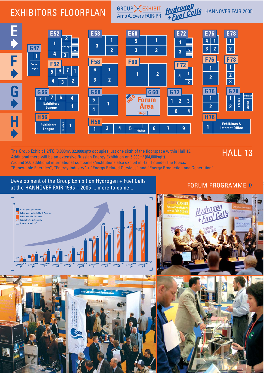### EXHIBITORS FLOORPLAN



GROUP EXHIBIT

The Group Exhibit H2/FC (3,000m<sup>2</sup>, 32,000sqft) occupies just one sixth of the floorspace within Hall 13. Additional there will be an extensive Russian Energy Exhibition on 6,000m<sup>2</sup> (64,000sqft). Around 200 additional international companies/institutions also exhibit in Hall 13 under the topics: "Renewable Energies", "Energy Industry" + "Energy Related Services" and "Energy Production and Generation".

#### Development of the Group Exhibit on Hydrogen + Fuel Cells at the HANNOVER FAIR 1995 -  $2005$  ... more to come ...

#### $\Gamma$ **Participating Countries** Exhibitors - outside North America Exhibitors USA / Canada Forum Participation only  $\Box$  Booked Area in  $m^2$ HANNOVER HANNOVER **INNOVER** HANNOVER HANNOVER HANNOVER

# 724 Ľ

#### FORUM PROGRAMME ››

HALL 13